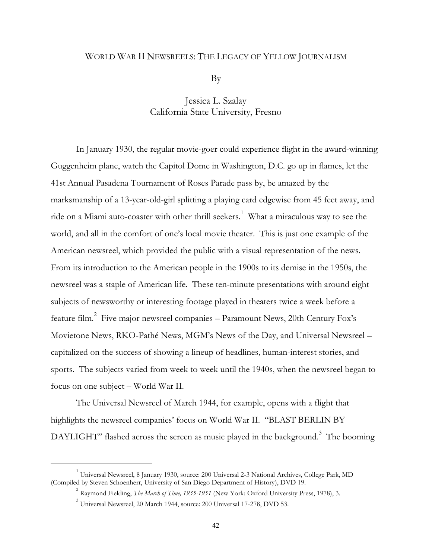# WORLD WAR II NEWSREELS: THE LEGACY OF YELLOW JOURNALISM

By

# Jessica L. Szalay California State University, Fresno

In January 1930, the regular movie-goer could experience flight in the award-winning Guggenheim plane, watch the Capitol Dome in Washington, D.C. go up in flames, let the 41st Annual Pasadena Tournament of Roses Parade pass by, be amazed by the marksmanship of a 13-year-old-girl splitting a playing card edgewise from 45 feet away, and ride on a Miami auto-coaster with other thrill seekers. $^1\,$  What a miraculous way to see the world, and all in the comfort of one's local movie theater. This is just one example of the American newsreel, which provided the public with a visual representation of the news. From its introduction to the American people in the 1900s to its demise in the 1950s, the newsreel was a staple of American life. These ten-minute presentations with around eight subjects of newsworthy or interesting footage played in theaters twice a week before a feature film. $^{2}$  Five major newsreel companies – Paramount News, 20th Century Fox's Movietone News, RKO-Pathé News, MGM's News of the Day, and Universal Newsreel – capitalized on the success of showing a lineup of headlines, human-interest stories, and sports. The subjects varied from week to week until the 1940s, when the newsreel began to focus on one subject – World War II.

The Universal Newsreel of March 1944, for example, opens with a flight that highlights the newsreel companies' focus on World War II. "BLAST BERLIN BY DAYLIGHT" flashed across the screen as music played in the background. $^3\,$  The booming

 $^1$  Universal Newsreel, 8 January 1930, source: 200 Universal 2-3 National Archives, College Park, MD (Compiled by Steven Schoenherr, University of San Diego Department of History), DVD 19.

<sup>2</sup> Raymond Fielding, *The March of Time, 1935-1951* (New York: Oxford University Press, 1978), 3.

 $^3$  Universal Newsreel, 20 March 1944, source: 200 Universal 17-278, DVD 53.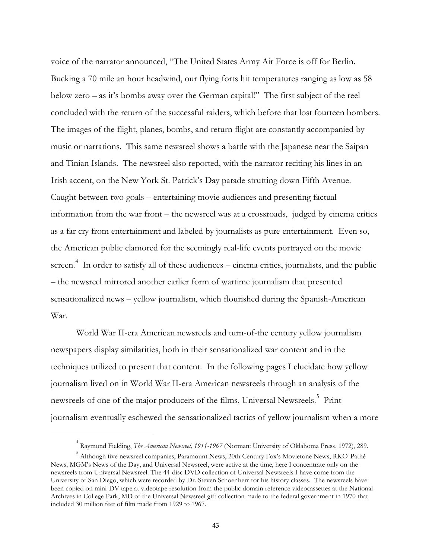voice of the narrator announced, "The United States Army Air Force is off for Berlin. Bucking a 70 mile an hour headwind, our flying forts hit temperatures ranging as low as 58 below zero – as it's bombs away over the German capital!" The first subject of the reel concluded with the return of the successful raiders, which before that lost fourteen bombers. The images of the flight, planes, bombs, and return flight are constantly accompanied by music or narrations. This same newsreel shows a battle with the Japanese near the Saipan and Tinian Islands. The newsreel also reported, with the narrator reciting his lines in an Irish accent, on the New York St. Patrick's Day parade strutting down Fifth Avenue. Caught between two goals – entertaining movie audiences and presenting factual information from the war front – the newsreel was at a crossroads, judged by cinema critics as a far cry from entertainment and labeled by journalists as pure entertainment. Even so, the American public clamored for the seemingly real-life events portrayed on the movie screen.<sup>4</sup> In order to satisfy all of these audiences – cinema critics, journalists, and the public – the newsreel mirrored another earlier form of wartime journalism that presented sensationalized news – yellow journalism, which flourished during the Spanish-American War.

World War II-era American newsreels and turn-of-the century yellow journalism newspapers display similarities, both in their sensationalized war content and in the techniques utilized to present that content. In the following pages I elucidate how yellow journalism lived on in World War II-era American newsreels through an analysis of the newsreels of one of the major producers of the films, Universal Newsreels.<sup>5</sup> Print journalism eventually eschewed the sensationalized tactics of yellow journalism when a more

<sup>4</sup> Raymond Fielding, *The American Newsreel, 1911-1967* (Norman: University of Oklahoma Press, 1972), 289.

<sup>5</sup> Although five newsreel companies, Paramount News, 20th Century Fox's Movietone News, RKO-Pathé News, MGM's News of the Day, and Universal Newsreel, were active at the time, here I concentrate only on the newsreels from Universal Newsreel. The 44-disc DVD collection of Universal Newsreels I have come from the University of San Diego, which were recorded by Dr. Steven Schoenherr for his history classes. The newsreels have been copied on mini-DV tape at videotape resolution from the public domain reference videocassettes at the National Archives in College Park, MD of the Universal Newsreel gift collection made to the federal government in 1970 that included 30 million feet of film made from 1929 to 1967.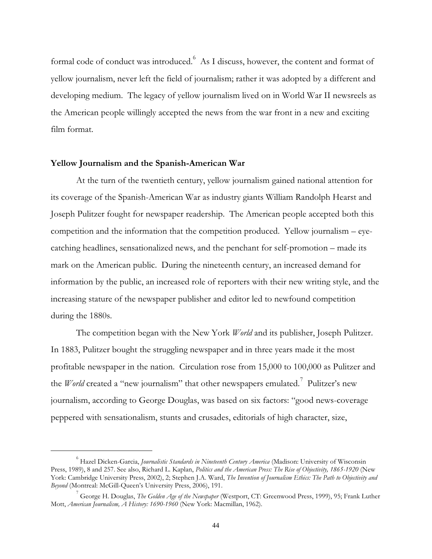formal code of conduct was introduced. $^6\,$  As I discuss, however, the content and format of yellow journalism, never left the field of journalism; rather it was adopted by a different and developing medium. The legacy of yellow journalism lived on in World War II newsreels as the American people willingly accepted the news from the war front in a new and exciting film format.

#### **Yellow Journalism and the Spanish-American War**

l.

At the turn of the twentieth century, yellow journalism gained national attention for its coverage of the Spanish-American War as industry giants William Randolph Hearst and Joseph Pulitzer fought for newspaper readership. The American people accepted both this competition and the information that the competition produced. Yellow journalism – eyecatching headlines, sensationalized news, and the penchant for self-promotion – made its mark on the American public. During the nineteenth century, an increased demand for information by the public, an increased role of reporters with their new writing style, and the increasing stature of the newspaper publisher and editor led to newfound competition during the 1880s.

The competition began with the New York *World* and its publisher, Joseph Pulitzer. In 1883, Pulitzer bought the struggling newspaper and in three years made it the most profitable newspaper in the nation. Circulation rose from 15,000 to 100,000 as Pulitzer and the *World* created a "new journalism" that other newspapers emulated.<sup>7</sup> Pulitzer's new journalism, according to George Douglas, was based on six factors: "good news-coverage peppered with sensationalism, stunts and crusades, editorials of high character, size,

<sup>6</sup> Hazel Dicken-Garcia, *Journalistic Standards in Nineteenth Century America* (Madison: University of Wisconsin Press, 1989), 8 and 257. See also, Richard L. Kaplan, *Politics and the American Press: The Rise of Objectivity, 1865-1920* (New York: Cambridge University Press, 2002), 2; Stephen J.A. Ward, *The Invention of Journalism Ethics: The Path to Objectivity and Beyond* (Montreal: McGill-Queen's University Press, 2006), 191.

<sup>7</sup> George H. Douglas, *The Golden Age of the Newspaper* (Westport, CT: Greenwood Press, 1999), 95; Frank Luther Mott, *American Journalism, A History: 1690-1960* (New York: Macmillan, 1962).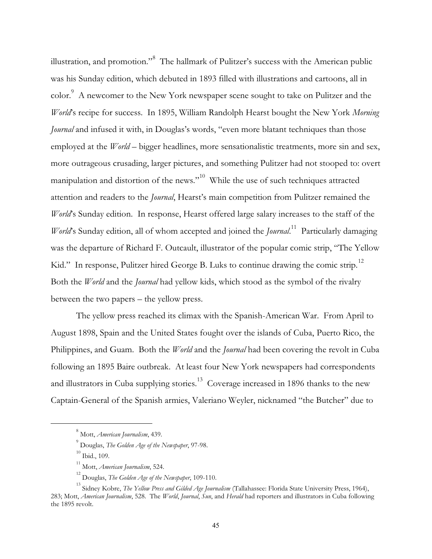illustration, and promotion." $^8\,$  The hallmark of Pulitzer's success with the American public was his Sunday edition, which debuted in 1893 filled with illustrations and cartoons, all in color. A newcomer to the New York newspaper scene sought to take on Pulitzer and the *World*'s recipe for success. In 1895, William Randolph Hearst bought the New York *Morning Journal* and infused it with, in Douglas's words, "even more blatant techniques than those employed at the *World* – bigger headlines, more sensationalistic treatments, more sin and sex, more outrageous crusading, larger pictures, and something Pulitzer had not stooped to: overt manipulation and distortion of the news."<sup>10</sup> While the use of such techniques attracted attention and readers to the *Journal*, Hearst's main competition from Pulitzer remained the *World*'s Sunday edition. In response, Hearst offered large salary increases to the staff of the *World*'s Sunday edition, all of whom accepted and joined the *Journal*. <sup>11</sup> Particularly damaging was the departure of Richard F. Outcault, illustrator of the popular comic strip, "The Yellow Kid." In response, Pulitzer hired George B. Luks to continue drawing the comic strip. $^{12}$ Both the *World* and the *Journal* had yellow kids, which stood as the symbol of the rivalry between the two papers – the yellow press.

The yellow press reached its climax with the Spanish-American War. From April to August 1898, Spain and the United States fought over the islands of Cuba, Puerto Rico, the Philippines, and Guam. Both the *World* and the *Journal* had been covering the revolt in Cuba following an 1895 Baire outbreak. At least four New York newspapers had correspondents and illustrators in Cuba supplying stories.<sup>13</sup> Coverage increased in 1896 thanks to the new Captain-General of the Spanish armies, Valeriano Weyler, nicknamed "the Butcher" due to

<sup>8</sup> Mott, *American Journalism*, 439.

<sup>9</sup> Douglas, *The Golden Age of the Newspaper*, 97-98.

 $^{\rm 10}$  Ibid., 109.

<sup>11</sup> Mott, *American Journalism*, 524.

<sup>12</sup> Douglas, *The Golden Age of the Newspaper*, 109-110.

<sup>13</sup> Sidney Kobre, *The Yellow Press and Gilded Age Journalism* (Tallahassee: Florida State University Press, 1964), 283; Mott, *American Journalism*, 528. The *World*, *Journal*, *Sun*, and *Herald* had reporters and illustrators in Cuba following the 1895 revolt.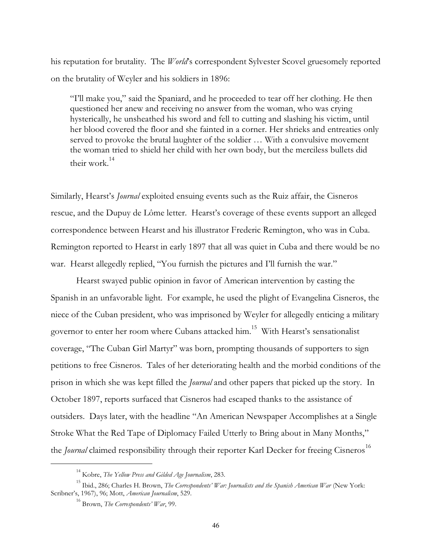his reputation for brutality. The *World*'s correspondent Sylvester Scovel gruesomely reported on the brutality of Weyler and his soldiers in 1896:

"I'll make you," said the Spaniard, and he proceeded to tear off her clothing. He then questioned her anew and receiving no answer from the woman, who was crying hysterically, he unsheathed his sword and fell to cutting and slashing his victim, until her blood covered the floor and she fainted in a corner. Her shrieks and entreaties only served to provoke the brutal laughter of the soldier … With a convulsive movement the woman tried to shield her child with her own body, but the merciless bullets did their work. $14$ 

Similarly, Hearst's *Journal* exploited ensuing events such as the Ruiz affair, the Cisneros rescue, and the Dupuy de Lôme letter. Hearst's coverage of these events support an alleged correspondence between Hearst and his illustrator Frederic Remington, who was in Cuba. Remington reported to Hearst in early 1897 that all was quiet in Cuba and there would be no war. Hearst allegedly replied, "You furnish the pictures and I'll furnish the war."

Hearst swayed public opinion in favor of American intervention by casting the Spanish in an unfavorable light. For example, he used the plight of Evangelina Cisneros, the niece of the Cuban president, who was imprisoned by Weyler for allegedly enticing a military governor to enter her room where Cubans attacked him. $^{15}\,$  With Hearst's sensationalist coverage, "The Cuban Girl Martyr" was born, prompting thousands of supporters to sign petitions to free Cisneros. Tales of her deteriorating health and the morbid conditions of the prison in which she was kept filled the *Journal* and other papers that picked up the story. In October 1897, reports surfaced that Cisneros had escaped thanks to the assistance of outsiders. Days later, with the headline "An American Newspaper Accomplishes at a Single Stroke What the Red Tape of Diplomacy Failed Utterly to Bring about in Many Months," the *Journal* claimed responsibility through their reporter Karl Decker for freeing Cisneros<sup>16</sup>

<sup>14</sup> Kobre, *The Yellow Press and Gilded Age Journalism*, 283.

<sup>15</sup> Ibid., 286; Charles H. Brown, *The Correspondents' War: Journalists and the Spanish American War* (New York: Scribner's, 1967), 96; Mott, *American Journalism*, 529.

<sup>16</sup> Brown, *The Correspondents' War*, 99.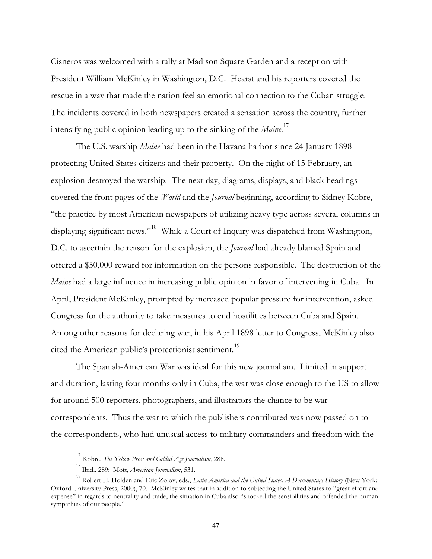Cisneros was welcomed with a rally at Madison Square Garden and a reception with President William McKinley in Washington, D.C. Hearst and his reporters covered the rescue in a way that made the nation feel an emotional connection to the Cuban struggle. The incidents covered in both newspapers created a sensation across the country, further intensifying public opinion leading up to the sinking of the *Maine*. 17

The U.S. warship *Maine* had been in the Havana harbor since 24 January 1898 protecting United States citizens and their property. On the night of 15 February, an explosion destroyed the warship. The next day, diagrams, displays, and black headings covered the front pages of the *World* and the *Journal* beginning, according to Sidney Kobre, "the practice by most American newspapers of utilizing heavy type across several columns in displaying significant news."<sup>18</sup> While a Court of Inquiry was dispatched from Washington, D.C. to ascertain the reason for the explosion, the *Journal* had already blamed Spain and offered a \$50,000 reward for information on the persons responsible. The destruction of the *Maine* had a large influence in increasing public opinion in favor of intervening in Cuba. In April, President McKinley, prompted by increased popular pressure for intervention, asked Congress for the authority to take measures to end hostilities between Cuba and Spain. Among other reasons for declaring war, in his April 1898 letter to Congress, McKinley also cited the American public's protectionist sentiment.<sup>19</sup>

The Spanish-American War was ideal for this new journalism. Limited in support and duration, lasting four months only in Cuba, the war was close enough to the US to allow for around 500 reporters, photographers, and illustrators the chance to be war correspondents. Thus the war to which the publishers contributed was now passed on to the correspondents, who had unusual access to military commanders and freedom with the

<sup>17</sup> Kobre, *The Yellow Press and Gilded Age Journalism*, 288.

<sup>18</sup> Ibid., 289; Mott, *American Journalism*, 531.

<sup>19</sup> Robert H. Holden and Eric Zolov, eds., *Latin America and the United States: A Documentary History* (New York: Oxford University Press, 2000), 70. McKinley writes that in addition to subjecting the United States to "great effort and expense" in regards to neutrality and trade, the situation in Cuba also "shocked the sensibilities and offended the human sympathies of our people."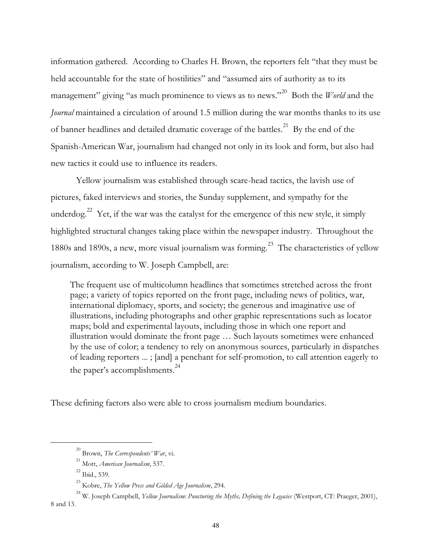information gathered. According to Charles H. Brown, the reporters felt "that they must be held accountable for the state of hostilities" and "assumed airs of authority as to its management" giving "as much prominence to views as to news."<sup>20</sup> Both the *World* and the *Journal* maintained a circulation of around 1.5 million during the war months thanks to its use of banner headlines and detailed dramatic coverage of the battles.<sup>21</sup> By the end of the Spanish-American War, journalism had changed not only in its look and form, but also had new tactics it could use to influence its readers.

Yellow journalism was established through scare-head tactics, the lavish use of pictures, faked interviews and stories, the Sunday supplement, and sympathy for the underdog.<sup>22</sup> Yet, if the war was the catalyst for the emergence of this new style, it simply highlighted structural changes taking place within the newspaper industry. Throughout the 1880s and 1890s, a new, more visual journalism was forming.<sup>23</sup> The characteristics of yellow journalism, according to W. Joseph Campbell, are:

The frequent use of multicolumn headlines that sometimes stretched across the front page; a variety of topics reported on the front page, including news of politics, war, international diplomacy, sports, and society; the generous and imaginative use of illustrations, including photographs and other graphic representations such as locator maps; bold and experimental layouts, including those in which one report and illustration would dominate the front page … Such layouts sometimes were enhanced by the use of color; a tendency to rely on anonymous sources, particularly in dispatches of leading reporters ... ; [and] a penchant for self-promotion, to call attention eagerly to the paper's accomplishments.<sup>24</sup>

These defining factors also were able to cross journalism medium boundaries.

<sup>20</sup> Brown, *The Correspondents' War*, vi.

<sup>21</sup> Mott, *American Journalism*, 537.

 $^{22}$  Ibid., 539.

<sup>23</sup> Kobre, *The Yellow Press and Gilded Age Journalism*, 294.

<sup>24</sup> W. Joseph Campbell, *Yellow Journalism: Puncturing the Myths, Defining the Legacies* (Westport, CT: Praeger, 2001), 8 and 13.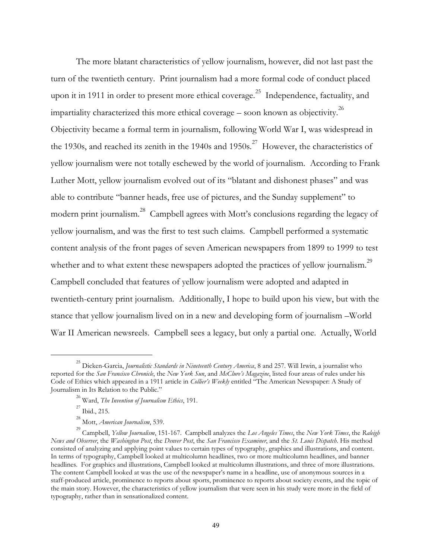The more blatant characteristics of yellow journalism, however, did not last past the turn of the twentieth century. Print journalism had a more formal code of conduct placed upon it in 1911 in order to present more ethical coverage.<sup>25</sup> Independence, factuality, and impartiality characterized this more ethical coverage – soon known as objectivity. $^{26}$ Objectivity became a formal term in journalism, following World War I, was widespread in the 1930s, and reached its zenith in the 1940s and  $1950s$ .<sup>27</sup> However, the characteristics of yellow journalism were not totally eschewed by the world of journalism. According to Frank Luther Mott, yellow journalism evolved out of its "blatant and dishonest phases" and was able to contribute "banner heads, free use of pictures, and the Sunday supplement" to modern print journalism. $^{28}\,$  Campbell agrees with Mott's conclusions regarding the legacy of yellow journalism, and was the first to test such claims. Campbell performed a systematic content analysis of the front pages of seven American newspapers from 1899 to 1999 to test whether and to what extent these newspapers adopted the practices of yellow journalism. $^{29}$ Campbell concluded that features of yellow journalism were adopted and adapted in twentieth-century print journalism. Additionally, I hope to build upon his view, but with the stance that yellow journalism lived on in a new and developing form of journalism –World War II American newsreels. Campbell sees a legacy, but only a partial one. Actually, World

<sup>25</sup> Dicken-Garcia, *Journalistic Standards in Nineteenth Century America*, 8 and 257. Will Irwin, a journalist who reported for the *San Francisco Chronicle*, the *New York Sun*, and *McClure's Magazine*, listed four areas of rules under his Code of Ethics which appeared in a 1911 article in *Collier's Weekly* entitled "The American Newspaper: A Study of Journalism in Its Relation to the Public."

<sup>26</sup> Ward, *The Invention of Journalism Ethics*, 191.

 $^{27}$  Ibid., 215.

<sup>28</sup> Mott, *American Journalism*, 539.

<sup>29</sup> Campbell, *Yellow Journalism*, 151-167. Campbell analyzes the *Los Angeles Times*, the *New York Times*, the *Raleigh News and Observer*, the *Washington Post*, the *Denver Post*, the *San Francisco Examiner*, and the *St. Louis Dispatch*. His method consisted of analyzing and applying point values to certain types of typography, graphics and illustrations, and content. In terms of typography, Campbell looked at multicolumn headlines, two or more multicolumn headlines, and banner headlines. For graphics and illustrations, Campbell looked at multicolumn illustrations, and three of more illustrations. The content Campbell looked at was the use of the newspaper's name in a headline, use of anonymous sources in a staff-produced article, prominence to reports about sports, prominence to reports about society events, and the topic of the main story. However, the characteristics of yellow journalism that were seen in his study were more in the field of typography, rather than in sensationalized content.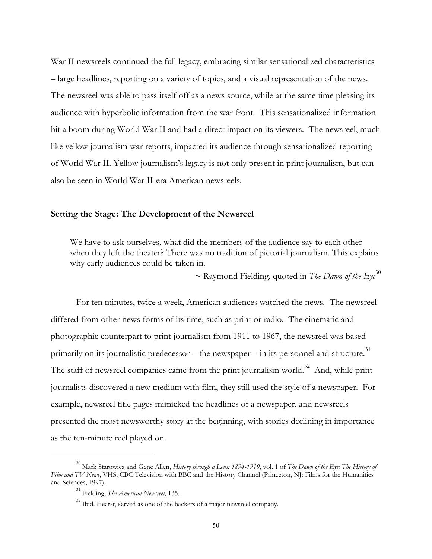War II newsreels continued the full legacy, embracing similar sensationalized characteristics – large headlines, reporting on a variety of topics, and a visual representation of the news. The newsreel was able to pass itself off as a news source, while at the same time pleasing its audience with hyperbolic information from the war front. This sensationalized information hit a boom during World War II and had a direct impact on its viewers. The newsreel, much like yellow journalism war reports, impacted its audience through sensationalized reporting of World War II. Yellow journalism's legacy is not only present in print journalism, but can also be seen in World War II-era American newsreels.

#### **Setting the Stage: The Development of the Newsreel**

We have to ask ourselves, what did the members of the audience say to each other when they left the theater? There was no tradition of pictorial journalism. This explains why early audiences could be taken in.

 $\sim$  Raymond Fielding, quoted in *The Dawn of the Eye*<sup>30</sup>

For ten minutes, twice a week, American audiences watched the news. The newsreel differed from other news forms of its time, such as print or radio. The cinematic and photographic counterpart to print journalism from 1911 to 1967, the newsreel was based primarily on its journalistic predecessor – the newspaper – in its personnel and structure. $^{31}$ The staff of newsreel companies came from the print journalism world.<sup>32</sup> And, while print journalists discovered a new medium with film, they still used the style of a newspaper. For example, newsreel title pages mimicked the headlines of a newspaper, and newsreels presented the most newsworthy story at the beginning, with stories declining in importance as the ten-minute reel played on.

<sup>30</sup> Mark Starowicz and Gene Allen, *History through a Lens: 1894-1919*, vol. 1 of *The Dawn of the Eye: The History of Film and TV News*, VHS, CBC Television with BBC and the History Channel (Princeton, NJ: Films for the Humanities and Sciences, 1997).

<sup>31</sup> Fielding, *The American Newsreel*, 135.

 $32$  Ibid. Hearst, served as one of the backers of a major newsreel company.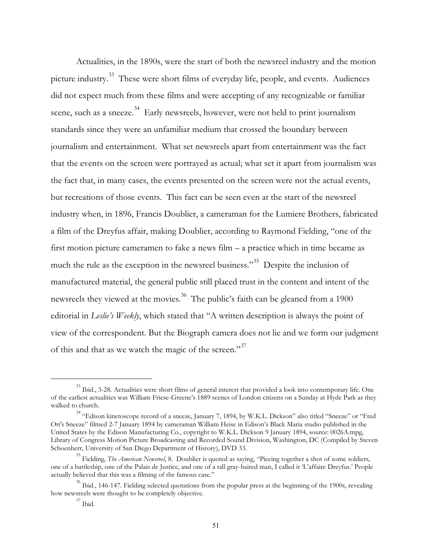Actualities, in the 1890s, were the start of both the newsreel industry and the motion picture industry.<sup>33</sup> These were short films of everyday life, people, and events. Audiences did not expect much from these films and were accepting of any recognizable or familiar scene, such as a sneeze.<sup>34</sup> Early newsreels, however, were not held to print journalism standards since they were an unfamiliar medium that crossed the boundary between journalism and entertainment. What set newsreels apart from entertainment was the fact that the events on the screen were portrayed as actual; what set it apart from journalism was the fact that, in many cases, the events presented on the screen were not the actual events, but recreations of those events. This fact can be seen even at the start of the newsreel industry when, in 1896, Francis Doublier, a cameraman for the Lumiere Brothers, fabricated a film of the Dreyfus affair, making Doublier, according to Raymond Fielding, "one of the first motion picture cameramen to fake a news film – a practice which in time became as much the rule as the exception in the newsreel business."<sup>35</sup> Despite the inclusion of manufactured material, the general public still placed trust in the content and intent of the newsreels they viewed at the movies. $^{36}$  The public's faith can be gleaned from a 1900 editorial in *Leslie's Weekly*, which stated that "A written description is always the point of view of the correspondent. But the Biograph camera does not lie and we form our judgment of this and that as we watch the magic of the screen."<sup>37</sup>

<sup>&</sup>lt;sup>33</sup> Ibid., 3-28. Actualities were short films of general interest that provided a look into contemporary life. One of the earliest actualities was William Friese-Greene's 1889 scenes of London citizens on a Sunday at Hyde Park as they walked to church.

<sup>&</sup>lt;sup>34</sup> "Edison kinetoscope record of a sneeze, January 7, 1894, by W.K.L. Dickson" also titled "Sneeze" or "Fred Ott's Sneeze" filmed 2-7 January 1894 by cameraman William Heise in Edison's Black Maria studio published in the United States by the Edison Manufacturing Co., copyright to W.K.L. Dickson 9 January 1894, source: 0026A.mpg, Library of Congress Motion Picture Broadcasting and Recorded Sound Division, Washington, DC (Compiled by Steven Schoenherr, University of San Diego Department of History), DVD 33.

<sup>35</sup> Fielding, *The American Newsreel*, 8. Doublier is quoted as saying, "Piecing together a shot of some soldiers, one of a battleship, one of the Palais de Justice, and one of a tall gray-haired man, I called it 'L'affaire Dreyfus.' People actually believed that this was a filming of the famous case."

<sup>&</sup>lt;sup>36</sup> Ibid., 146-147. Fielding selected quotations from the popular press at the beginning of the 1900s, revealing how newsreels were thought to be completely objective.

 $37$  Ibid.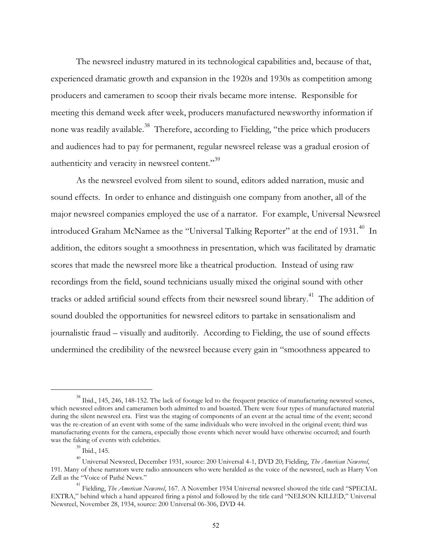The newsreel industry matured in its technological capabilities and, because of that, experienced dramatic growth and expansion in the 1920s and 1930s as competition among producers and cameramen to scoop their rivals became more intense. Responsible for meeting this demand week after week, producers manufactured newsworthy information if none was readily available. $^{38}$  Therefore, according to Fielding, "the price which producers and audiences had to pay for permanent, regular newsreel release was a gradual erosion of authenticity and veracity in newsreel content." $^{39}$ 

As the newsreel evolved from silent to sound, editors added narration, music and sound effects. In order to enhance and distinguish one company from another, all of the major newsreel companies employed the use of a narrator. For example, Universal Newsreel introduced Graham McNamee as the "Universal Talking Reporter" at the end of 1931.<sup>40</sup> In addition, the editors sought a smoothness in presentation, which was facilitated by dramatic scores that made the newsreel more like a theatrical production. Instead of using raw recordings from the field, sound technicians usually mixed the original sound with other tracks or added artificial sound effects from their newsreel sound library.<sup>41</sup> The addition of sound doubled the opportunities for newsreel editors to partake in sensationalism and journalistic fraud – visually and auditorily. According to Fielding, the use of sound effects undermined the credibility of the newsreel because every gain in "smoothness appeared to

<sup>&</sup>lt;sup>38</sup> Ibid., 145, 246, 148-152. The lack of footage led to the frequent practice of manufacturing newsreel scenes, which newsreel editors and cameramen both admitted to and boasted. There were four types of manufactured material during the silent newsreel era. First was the staging of components of an event at the actual time of the event; second was the re-creation of an event with some of the same individuals who were involved in the original event; third was manufacturing events for the camera, especially those events which never would have otherwise occurred; and fourth was the faking of events with celebrities.

<sup>39</sup> Ibid., 145.

<sup>40</sup> Universal Newsreel, December 1931, source: 200 Universal 4-1, DVD 20; Fielding, *The American Newsreel*, 191. Many of these narrators were radio announcers who were heralded as the voice of the newsreel, such as Harry Von Zell as the "Voice of Pathé News."

<sup>&</sup>lt;sup>41</sup> Fielding, *The American Newsreel*, 167. A November 1934 Universal newsreel showed the title card "SPECIAL EXTRA," behind which a hand appeared firing a pistol and followed by the title card "NELSON KILLED," Universal Newsreel, November 28, 1934, source: 200 Universal 06-306, DVD 44.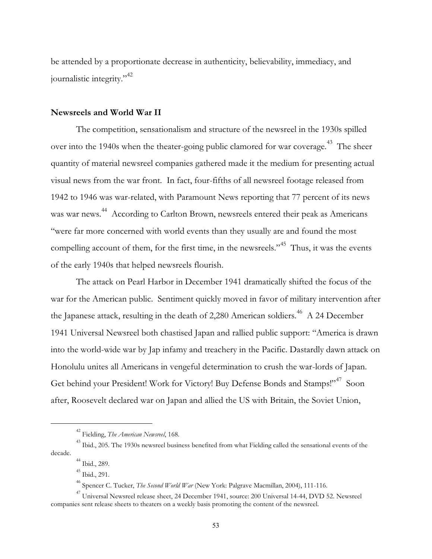be attended by a proportionate decrease in authenticity, believability, immediacy, and journalistic integrity."<sup>42</sup>

## **Newsreels and World War II**

The competition, sensationalism and structure of the newsreel in the 1930s spilled over into the 1940s when the theater-going public clamored for war coverage.<sup>43</sup> The sheer quantity of material newsreel companies gathered made it the medium for presenting actual visual news from the war front. In fact, four-fifths of all newsreel footage released from 1942 to 1946 was war-related, with Paramount News reporting that 77 percent of its news was war news. <sup>44</sup> According to Carlton Brown, newsreels entered their peak as Americans "were far more concerned with world events than they usually are and found the most compelling account of them, for the first time, in the newsreels."<sup>45</sup> Thus, it was the events of the early 1940s that helped newsreels flourish.

The attack on Pearl Harbor in December 1941 dramatically shifted the focus of the war for the American public. Sentiment quickly moved in favor of military intervention after the Japanese attack, resulting in the death of 2,280 American soldiers.<sup>46</sup> A 24 December 1941 Universal Newsreel both chastised Japan and rallied public support: "America is drawn into the world-wide war by Jap infamy and treachery in the Pacific. Dastardly dawn attack on Honolulu unites all Americans in vengeful determination to crush the war-lords of Japan. Get behind your President! Work for Victory! Buy Defense Bonds and Stamps!"<sup>47</sup> Soon after, Roosevelt declared war on Japan and allied the US with Britain, the Soviet Union,

 $^{44}$  Ibid., 289.

<sup>42</sup> Fielding, *The American Newsreel*, 168.

<sup>&</sup>lt;sup>43</sup> Ibid., 205. The 1930s newsreel business benefited from what Fielding called the sensational events of the decade.

<sup>45</sup> Ibid., 291.

<sup>46</sup> Spencer C. Tucker, *The Second World War* (New York: Palgrave Macmillan, 2004), 111-116.

 $^{47}$  Universal Newsreel release sheet, 24 December 1941, source: 200 Universal 14-44, DVD 52. Newsreel companies sent release sheets to theaters on a weekly basis promoting the content of the newsreel.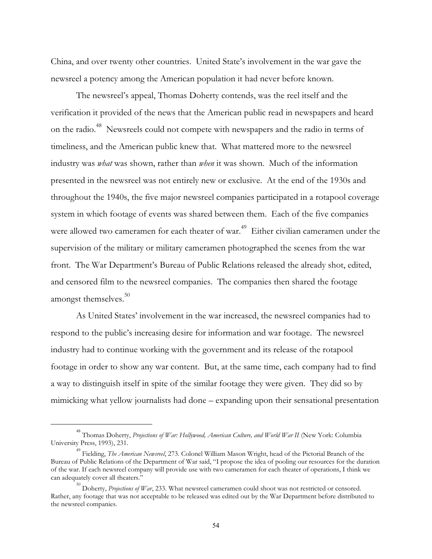China, and over twenty other countries. United State's involvement in the war gave the newsreel a potency among the American population it had never before known.

The newsreel's appeal, Thomas Doherty contends, was the reel itself and the verification it provided of the news that the American public read in newspapers and heard on the radio.<sup>48</sup> Newsreels could not compete with newspapers and the radio in terms of timeliness, and the American public knew that. What mattered more to the newsreel industry was *what* was shown, rather than *when* it was shown. Much of the information presented in the newsreel was not entirely new or exclusive. At the end of the 1930s and throughout the 1940s, the five major newsreel companies participated in a rotapool coverage system in which footage of events was shared between them. Each of the five companies were allowed two cameramen for each theater of war.<sup>49</sup> Either civilian cameramen under the supervision of the military or military cameramen photographed the scenes from the war front. The War Department's Bureau of Public Relations released the already shot, edited, and censored film to the newsreel companies. The companies then shared the footage amongst themselves.<sup>50</sup>

As United States' involvement in the war increased, the newsreel companies had to respond to the public's increasing desire for information and war footage. The newsreel industry had to continue working with the government and its release of the rotapool footage in order to show any war content. But, at the same time, each company had to find a way to distinguish itself in spite of the similar footage they were given. They did so by mimicking what yellow journalists had done – expanding upon their sensational presentation

<sup>&</sup>lt;sup>48</sup> Thomas Doherty, *Projections of War: Hollywood, American Culture, and World War II (New York: Columbia* University Press, 1993), 231.

<sup>49</sup> Fielding, *The American Newsreel*, 273. Colonel William Mason Wright, head of the Pictorial Branch of the Bureau of Public Relations of the Department of War said, "I propose the idea of pooling our resources for the duration of the war. If each newsreel company will provide use with two cameramen for each theater of operations, I think we can adequately cover all theaters."

<sup>&</sup>lt;sup>50</sup> Doherty, *Projections of War*, 233. What newsreel cameramen could shoot was not restricted or censored. Rather, any footage that was not acceptable to be released was edited out by the War Department before distributed to the newsreel companies.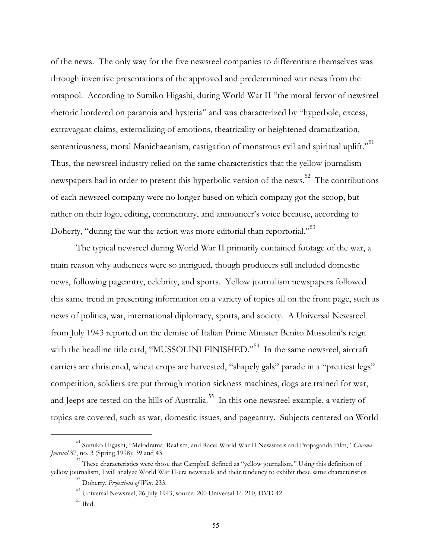of the news. The only way for the five newsreel companies to differentiate themselves was through inventive presentations of the approved and predetermined war news from the rotapool. According to Sumiko Higashi, during World War II "the moral fervor of newsreel rhetoric bordered on paranoia and hysteria" and was characterized by "hyperbole, excess, extravagant claims, externalizing of emotions, theatricality or heightened dramatization, sententiousness, moral Manichaeanism, castigation of monstrous evil and spiritual uplift." $^{51}$ Thus, the newsreel industry relied on the same characteristics that the yellow journalism newspapers had in order to present this hyperbolic version of the news.<sup>52</sup> The contributions of each newsreel company were no longer based on which company got the scoop, but rather on their logo, editing, commentary, and announcer's voice because, according to Doherty, "during the war the action was more editorial than reportorial."<sup>53</sup>

The typical newsreel during World War II primarily contained footage of the war, a main reason why audiences were so intrigued, though producers still included domestic news, following pageantry, celebrity, and sports. Yellow journalism newspapers followed this same trend in presenting information on a variety of topics all on the front page, such as news of politics, war, international diplomacy, sports, and society. A Universal Newsreel from July 1943 reported on the demise of Italian Prime Minister Benito Mussolini's reign with the headline title card, "MUSSOLINI FINISHED."<sup>54</sup> In the same newsreel, aircraft carriers are christened, wheat crops are harvested, "shapely gals" parade in a "prettiest legs" competition, soldiers are put through motion sickness machines, dogs are trained for war, and Jeeps are tested on the hills of Australia.<sup>55</sup> In this one newsreel example, a variety of topics are covered, such as war, domestic issues, and pageantry. Subjects centered on World

<sup>51</sup> Sumiko Higashi, "Melodrama, Realism, and Race: World War II Newsreels and Propaganda Film," *Cinema Journal* 37, no. 3 (Spring 1998): 39 and 43.

<sup>&</sup>lt;sup>52</sup> These characteristics were those that Campbell defined as "yellow journalism." Using this definition of yellow journalism, I will analyze World War II-era newsreels and their tendency to exhibit these same characteristics.

<sup>53</sup> Doherty, *Projections of War*, 233.

<sup>54</sup> Universal Newsreel, 26 July 1943, source: 200 Universal 16-210, DVD 42.

 $^{\rm 55}$ Ibid.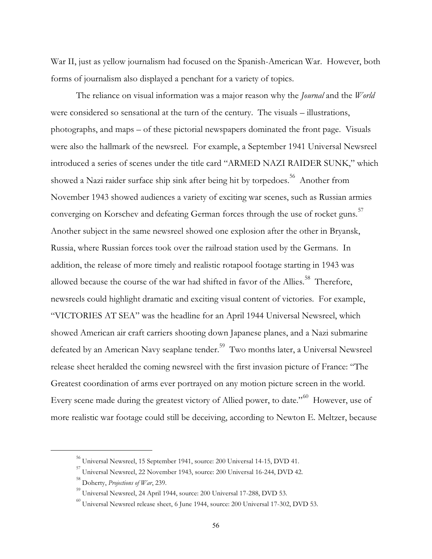War II, just as yellow journalism had focused on the Spanish-American War. However, both forms of journalism also displayed a penchant for a variety of topics.

The reliance on visual information was a major reason why the *Journal* and the *World* were considered so sensational at the turn of the century. The visuals – illustrations, photographs, and maps – of these pictorial newspapers dominated the front page. Visuals were also the hallmark of the newsreel. For example, a September 1941 Universal Newsreel introduced a series of scenes under the title card "ARMED NAZI RAIDER SUNK," which showed a Nazi raider surface ship sink after being hit by torpedoes.<sup>56</sup> Another from November 1943 showed audiences a variety of exciting war scenes, such as Russian armies converging on Korschev and defeating German forces through the use of rocket guns. $^{57}$ Another subject in the same newsreel showed one explosion after the other in Bryansk, Russia, where Russian forces took over the railroad station used by the Germans. In addition, the release of more timely and realistic rotapool footage starting in 1943 was allowed because the course of the war had shifted in favor of the Allies.<sup>58</sup> Therefore, newsreels could highlight dramatic and exciting visual content of victories. For example, "VICTORIES AT SEA" was the headline for an April 1944 Universal Newsreel, which showed American air craft carriers shooting down Japanese planes, and a Nazi submarine defeated by an American Navy seaplane tender.<sup>59</sup> Two months later, a Universal Newsreel release sheet heralded the coming newsreel with the first invasion picture of France: "The Greatest coordination of arms ever portrayed on any motion picture screen in the world. Every scene made during the greatest victory of Allied power, to date."<sup>60</sup> However, use of more realistic war footage could still be deceiving, according to Newton E. Meltzer, because

<sup>56</sup> Universal Newsreel, 15 September 1941, source: 200 Universal 14-15, DVD 41.

 $^{\rm 57}$  Universal Newsreel, 22 November 1943, source: 200 Universal 16-244, DVD 42.

<sup>58</sup> Doherty, *Projections of War*, 239.

<sup>59</sup> Universal Newsreel, 24 April 1944, source: 200 Universal 17-288, DVD 53.

 $^{60}$  Universal Newsreel release sheet, 6 June 1944, source: 200 Universal 17-302, DVD 53.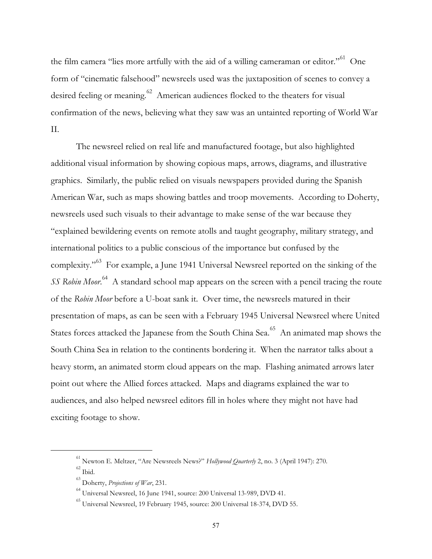the film camera "lies more artfully with the aid of a willing cameraman or editor."<sup>61</sup> One form of "cinematic falsehood" newsreels used was the juxtaposition of scenes to convey a desired feeling or meaning.<sup>62</sup> American audiences flocked to the theaters for visual confirmation of the news, believing what they saw was an untainted reporting of World War II.

The newsreel relied on real life and manufactured footage, but also highlighted additional visual information by showing copious maps, arrows, diagrams, and illustrative graphics. Similarly, the public relied on visuals newspapers provided during the Spanish American War, such as maps showing battles and troop movements. According to Doherty, newsreels used such visuals to their advantage to make sense of the war because they "explained bewildering events on remote atolls and taught geography, military strategy, and international politics to a public conscious of the importance but confused by the complexity."<sup>63</sup> For example, a June 1941 Universal Newsreel reported on the sinking of the *SS Robin Moor*. <sup>64</sup> A standard school map appears on the screen with a pencil tracing the route of the *Robin Moor* before a U-boat sank it. Over time, the newsreels matured in their presentation of maps, as can be seen with a February 1945 Universal Newsreel where United States forces attacked the Japanese from the South China Sea.<sup>65</sup> An animated map shows the South China Sea in relation to the continents bordering it. When the narrator talks about a heavy storm, an animated storm cloud appears on the map. Flashing animated arrows later point out where the Allied forces attacked. Maps and diagrams explained the war to audiences, and also helped newsreel editors fill in holes where they might not have had exciting footage to show.

<sup>61</sup> Newton E. Meltzer, "Are Newsreels News?" *Hollywood Quarterly* 2, no. 3 (April 1947): 270.  $62$  Ibid.

<sup>63</sup> Doherty, *Projections of War*, 231.

<sup>64</sup> Universal Newsreel, 16 June 1941, source: 200 Universal 13-989, DVD 41.

<sup>65</sup> Universal Newsreel, 19 February 1945, source: 200 Universal 18-374, DVD 55.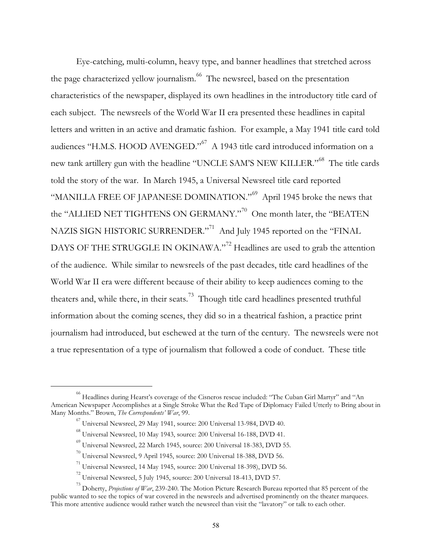Eye-catching, multi-column, heavy type, and banner headlines that stretched across the page characterized yellow journalism.<sup>66</sup> The newsreel, based on the presentation characteristics of the newspaper, displayed its own headlines in the introductory title card of each subject. The newsreels of the World War II era presented these headlines in capital letters and written in an active and dramatic fashion. For example, a May 1941 title card told audiences "H.M.S. HOOD AVENGED."<sup>67</sup> A 1943 title card introduced information on a new tank artillery gun with the headline "UNCLE SAM'S NEW KILLER."<sup>68</sup> The title cards told the story of the war. In March 1945, a Universal Newsreel title card reported "MANILLA FREE OF JAPANESE DOMINATION."<sup>69</sup> April 1945 broke the news that the "ALLIED NET TIGHTENS ON GERMANY." $^{70}$  One month later, the "BEATEN NAZIS SIGN HISTORIC SURRENDER."<sup>71</sup> And July 1945 reported on the "FINAL DAYS OF THE STRUGGLE IN OKINAWA."<sup>72</sup> Headlines are used to grab the attention of the audience. While similar to newsreels of the past decades, title card headlines of the World War II era were different because of their ability to keep audiences coming to the theaters and, while there, in their seats.<sup>73</sup> Though title card headlines presented truthful information about the coming scenes, they did so in a theatrical fashion, a practice print journalism had introduced, but eschewed at the turn of the century. The newsreels were not a true representation of a type of journalism that followed a code of conduct. These title

<sup>66</sup> Headlines during Hearst's coverage of the Cisneros rescue included: "The Cuban Girl Martyr" and "An American Newspaper Accomplishes at a Single Stroke What the Red Tape of Diplomacy Failed Utterly to Bring about in Many Months." Brown, *The Correspondents' War*, 99.

 $^{67}$  Universal Newsreel, 29 May 1941, source: 200 Universal 13-984, DVD 40.

<sup>68</sup> Universal Newsreel, 10 May 1943, source: 200 Universal 16-188, DVD 41.

<sup>69</sup> Universal Newsreel, 22 March 1945, source: 200 Universal 18-383, DVD 55.

 $^{70}$  Universal Newsreel, 9 April 1945, source: 200 Universal 18-388, DVD 56.

<sup>71</sup> Universal Newsreel, 14 May 1945, source: 200 Universal 18-398), DVD 56.

 $^{72}$  Universal Newsreel, 5 July 1945, source: 200 Universal 18-413, DVD 57.

<sup>&</sup>lt;sup>73</sup> Doherty, *Projections of War*, 239-240. The Motion Picture Research Bureau reported that 85 percent of the public wanted to see the topics of war covered in the newsreels and advertised prominently on the theater marquees. This more attentive audience would rather watch the newsreel than visit the "lavatory" or talk to each other.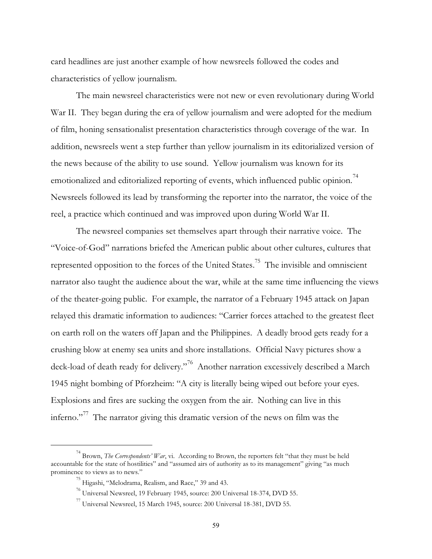card headlines are just another example of how newsreels followed the codes and characteristics of yellow journalism.

The main newsreel characteristics were not new or even revolutionary during World War II. They began during the era of yellow journalism and were adopted for the medium of film, honing sensationalist presentation characteristics through coverage of the war. In addition, newsreels went a step further than yellow journalism in its editorialized version of the news because of the ability to use sound. Yellow journalism was known for its emotionalized and editorialized reporting of events, which influenced public opinion.<sup>74</sup> Newsreels followed its lead by transforming the reporter into the narrator, the voice of the reel, a practice which continued and was improved upon during World War II.

The newsreel companies set themselves apart through their narrative voice. The "Voice-of-God" narrations briefed the American public about other cultures, cultures that represented opposition to the forces of the United States.<sup>75</sup> The invisible and omniscient narrator also taught the audience about the war, while at the same time influencing the views of the theater-going public. For example, the narrator of a February 1945 attack on Japan relayed this dramatic information to audiences: "Carrier forces attached to the greatest fleet on earth roll on the waters off Japan and the Philippines. A deadly brood gets ready for a crushing blow at enemy sea units and shore installations. Official Navy pictures show a deck-load of death ready for delivery."<sup>76</sup> Another narration excessively described a March 1945 night bombing of Pforzheim: "A city is literally being wiped out before your eyes. Explosions and fires are sucking the oxygen from the air. Nothing can live in this inferno."<sup>77</sup> The narrator giving this dramatic version of the news on film was the

<sup>&</sup>lt;sup>74</sup> Brown, *The Correspondents' War*, vi. According to Brown, the reporters felt "that they must be held accountable for the state of hostilities" and "assumed airs of authority as to its management" giving "as much prominence to views as to news."

<sup>75</sup> Higashi, "Melodrama, Realism, and Race," 39 and 43.

<sup>76</sup> Universal Newsreel, 19 February 1945, source: 200 Universal 18-374, DVD 55.

 $^{77}$  Universal Newsreel, 15 March 1945, source: 200 Universal 18-381, DVD 55.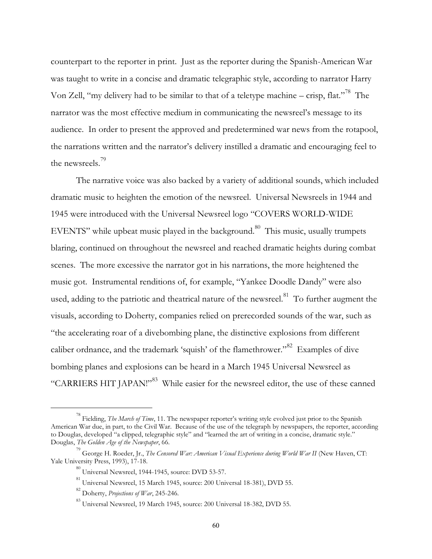counterpart to the reporter in print. Just as the reporter during the Spanish-American War was taught to write in a concise and dramatic telegraphic style, according to narrator Harry Von Zell, "my delivery had to be similar to that of a teletype machine – crisp, flat."<sup>78</sup> The narrator was the most effective medium in communicating the newsreel's message to its audience. In order to present the approved and predetermined war news from the rotapool, the narrations written and the narrator's delivery instilled a dramatic and encouraging feel to the newsreels.<sup>19</sup>

The narrative voice was also backed by a variety of additional sounds, which included dramatic music to heighten the emotion of the newsreel. Universal Newsreels in 1944 and 1945 were introduced with the Universal Newsreel logo "COVERS WORLD-WIDE EVENTS" while upbeat music played in the background.<sup>80</sup> This music, usually trumpets blaring, continued on throughout the newsreel and reached dramatic heights during combat scenes. The more excessive the narrator got in his narrations, the more heightened the music got. Instrumental renditions of, for example, "Yankee Doodle Dandy" were also used, adding to the patriotic and theatrical nature of the newsreel.<sup>81</sup> To further augment the visuals, according to Doherty, companies relied on prerecorded sounds of the war, such as "the accelerating roar of a divebombing plane, the distinctive explosions from different caliber ordnance, and the trademark 'squish' of the flamethrower."<sup>82</sup> Examples of dive bombing planes and explosions can be heard in a March 1945 Universal Newsreel as "CARRIERS HIT JAPAN!"<sup>83</sup> While easier for the newsreel editor, the use of these canned

<sup>78</sup> Fielding, *The March of Time*, 11. The newspaper reporter's writing style evolved just prior to the Spanish American War due, in part, to the Civil War. Because of the use of the telegraph by newspapers, the reporter, according to Douglas, developed "a clipped, telegraphic style" and "learned the art of writing in a concise, dramatic style." Douglas, *The Golden Age of the Newspaper*, 66.

<sup>&</sup>lt;sup>79</sup> George H. Roeder, Jr., *The Censored War: American Visual Experience during World War II (New Haven, CT:* Yale University Press, 1993), 17-18.

 $^{80}$  Universal Newsreel, 1944-1945, source: DVD 53-57.

<sup>81</sup> Universal Newsreel, 15 March 1945, source: 200 Universal 18-381), DVD 55.

<sup>82</sup> Doherty, *Projections of War*, 245-246.

 $^{83}$  Universal Newsreel, 19 March 1945, source: 200 Universal 18-382, DVD 55.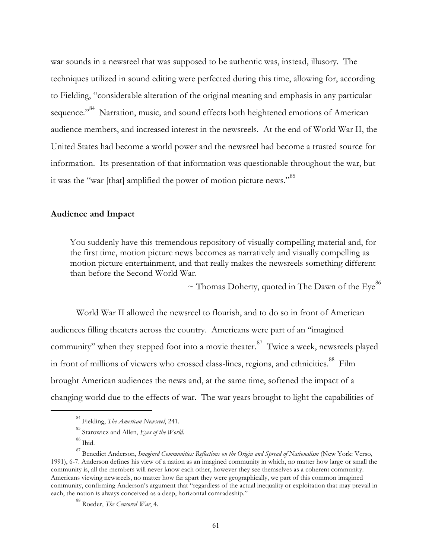war sounds in a newsreel that was supposed to be authentic was, instead, illusory. The techniques utilized in sound editing were perfected during this time, allowing for, according to Fielding, "considerable alteration of the original meaning and emphasis in any particular sequence."<sup>84</sup> Narration, music, and sound effects both heightened emotions of American audience members, and increased interest in the newsreels. At the end of World War II, the United States had become a world power and the newsreel had become a trusted source for information. Its presentation of that information was questionable throughout the war, but it was the "war [that] amplified the power of motion picture news." 85

## **Audience and Impact**

You suddenly have this tremendous repository of visually compelling material and, for the first time, motion picture news becomes as narratively and visually compelling as motion picture entertainment, and that really makes the newsreels something different than before the Second World War.

 $\sim$  Thomas Doherty, quoted in The Dawn of the Eye<sup>86</sup>

World War II allowed the newsreel to flourish, and to do so in front of American audiences filling theaters across the country. Americans were part of an "imagined community" when they stepped foot into a movie theater.<sup>87</sup> Twice a week, newsreels played in front of millions of viewers who crossed class-lines, regions, and ethnicities.<sup>88</sup> Film brought American audiences the news and, at the same time, softened the impact of a changing world due to the effects of war. The war years brought to light the capabilities of

<sup>84</sup> Fielding, *The American Newsreel*, 241.

<sup>85</sup> Starowicz and Allen, *Eyes of the World*.

<sup>86</sup> Ibid.

<sup>87</sup> Benedict Anderson, *Imagined Communities: Reflections on the Origin and Spread of Nationalism* (New York: Verso, 1991), 6-7. Anderson defines his view of a nation as an imagined community in which, no matter how large or small the community is, all the members will never know each other, however they see themselves as a coherent community. Americans viewing newsreels, no matter how far apart they were geographically, we part of this common imagined community, confirming Anderson's argument that "regardless of the actual inequality or exploitation that may prevail in each, the nation is always conceived as a deep, horizontal comradeship."

<sup>88</sup> Roeder, *The Censored War*, 4.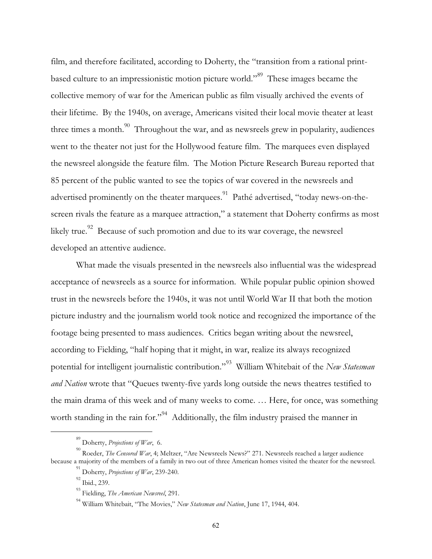film, and therefore facilitated, according to Doherty, the "transition from a rational printbased culture to an impressionistic motion picture world."<sup>89</sup> These images became the collective memory of war for the American public as film visually archived the events of their lifetime. By the 1940s, on average, Americans visited their local movie theater at least three times a month.<sup>90</sup> Throughout the war, and as newsreels grew in popularity, audiences went to the theater not just for the Hollywood feature film. The marquees even displayed the newsreel alongside the feature film. The Motion Picture Research Bureau reported that 85 percent of the public wanted to see the topics of war covered in the newsreels and advertised prominently on the theater marquees.<sup>91</sup> Pathé advertised, "today news-on-thescreen rivals the feature as a marquee attraction," a statement that Doherty confirms as most likely true.<sup>92</sup> Because of such promotion and due to its war coverage, the newsreel developed an attentive audience.

What made the visuals presented in the newsreels also influential was the widespread acceptance of newsreels as a source for information. While popular public opinion showed trust in the newsreels before the 1940s, it was not until World War II that both the motion picture industry and the journalism world took notice and recognized the importance of the footage being presented to mass audiences. Critics began writing about the newsreel, according to Fielding, "half hoping that it might, in war, realize its always recognized potential for intelligent journalistic contribution."<sup>93</sup> William Whitebait of the *New Statesman and Nation* wrote that "Queues twenty-five yards long outside the news theatres testified to the main drama of this week and of many weeks to come. … Here, for once, was something worth standing in the rain for."<sup>94</sup> Additionally, the film industry praised the manner in

<sup>89</sup> Doherty, *Projections of War*, 6.

<sup>90</sup> Roeder, *The Censored War*, 4; Meltzer, "Are Newsreels News?" 271. Newsreels reached a larger audience because a majority of the members of a family in two out of three American homes visited the theater for the newsreel.

<sup>91</sup> Doherty, *Projections of War*, 239-240.

<sup>92</sup> Ibid., 239.

<sup>93</sup> Fielding, *The American Newsreel*, 291.

<sup>94</sup> William Whitebait, "The Movies," *New Statesman and Nation*, June 17, 1944, 404.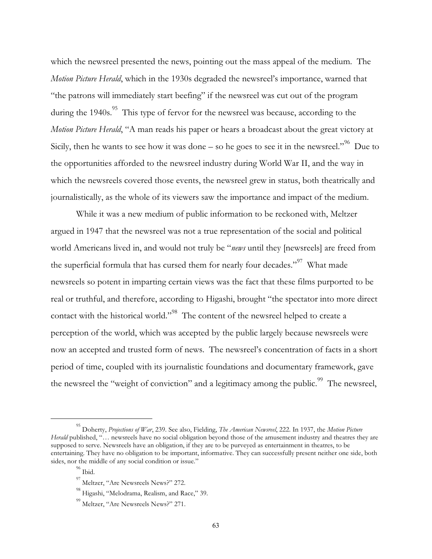which the newsreel presented the news, pointing out the mass appeal of the medium. The *Motion Picture Herald*, which in the 1930s degraded the newsreel's importance, warned that "the patrons will immediately start beefing" if the newsreel was cut out of the program during the  $1940s$ .<sup>95</sup> This type of fervor for the newsreel was because, according to the *Motion Picture Herald*, "A man reads his paper or hears a broadcast about the great victory at Sicily, then he wants to see how it was done – so he goes to see it in the newsreel."<sup>96</sup> Due to the opportunities afforded to the newsreel industry during World War II, and the way in which the newsreels covered those events, the newsreel grew in status, both theatrically and journalistically, as the whole of its viewers saw the importance and impact of the medium.

While it was a new medium of public information to be reckoned with, Meltzer argued in 1947 that the newsreel was not a true representation of the social and political world Americans lived in, and would not truly be "*news* until they [newsreels] are freed from the superficial formula that has cursed them for nearly four decades."<sup>97</sup> What made newsreels so potent in imparting certain views was the fact that these films purported to be real or truthful, and therefore, according to Higashi, brought "the spectator into more direct contact with the historical world."<sup>98</sup> The content of the newsreel helped to create a perception of the world, which was accepted by the public largely because newsreels were now an accepted and trusted form of news. The newsreel's concentration of facts in a short period of time, coupled with its journalistic foundations and documentary framework, gave the newsreel the "weight of conviction" and a legitimacy among the public.<sup>99</sup> The newsreel,

<sup>95</sup> Doherty, *Projections of War*, 239. See also, Fielding, *The American Newsreel*, 222. In 1937, the *Motion Picture Herald* published, "... newsreels have no social obligation beyond those of the amusement industry and theatres they are supposed to serve. Newsreels have an obligation, if they are to be purveyed as entertainment in theatres, to be entertaining. They have no obligation to be important, informative. They can successfully present neither one side, both sides, nor the middle of any social condition or issue."

 $^{96}$  Ibid.

<sup>97</sup> Meltzer, "Are Newsreels News?" 272.

<sup>&</sup>lt;sup>98</sup> Higashi, "Melodrama, Realism, and Race," 39.

<sup>&</sup>lt;sup>99</sup> Meltzer, "Are Newsreels News?" 271.